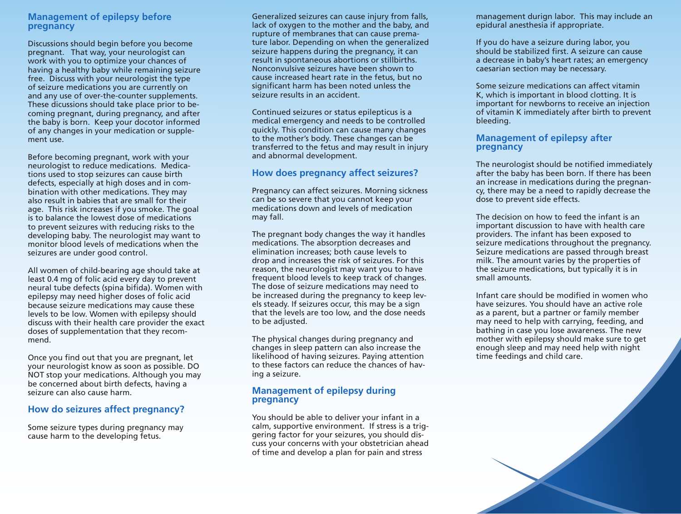# **Management of epilepsy before pregnancy**

Discussions should begin before you become pregnant. That way, your neurologist can work with you to optimize your chances of having a healthy baby while remaining seizure free. Discuss with your neurologist the type of seizure medications you are currently on and any use of over-the-counter supplements. These dicussions should take place prior to becoming pregnant, during pregnancy, and after the baby is born. Keep your docotor informed of any changes in your medication or supplement use.

Before becoming pregnant, work with your neurologist to reduce medications. Medications used to stop seizures can cause birth defects, especially at high doses and in combination with other medications. They may also result in babies that are small for their age. This risk increases if you smoke. The goal is to balance the lowest dose of medications to prevent seizures with reducing risks to the developing baby. The neurologist may want to monitor blood levels of medications when the seizures are under good control.

All women of child-bearing age should take at least 0.4 mg of folic acid every day to prevent neural tube defects (spina bifida). Women with epilepsy may need higher doses of folic acid because seizure medications may cause these levels to be low. Women with epilepsy should discuss with their health care provider the exact doses of supplementation that they recommend.

Once you find out that you are pregnant, let your neurologist know as soon as possible. DO NOT stop your medications. Although you may be concerned about birth defects, having a seizure can also cause harm.

### **How do seizures affect pregnancy?**

Some seizure types during pregnancy may cause harm to the developing fetus.

Generalized seizures can cause injury from falls, lack of oxygen to the mother and the baby, and rupture of membranes that can cause premature labor. Depending on when the generalized seizure happens during the pregnancy, it can result in spontaneous abortions or stillbirths. Nonconvulsive seizures have been shown to cause increased heart rate in the fetus, but no significant harm has been noted unless the seizure results in an accident.

Continued seizures or status epilepticus is a medical emergency and needs to be controlled quickly. This condition can cause many changes to the mother's body. These changes can be transferred to the fetus and may result in injury and abnormal development.

# **How does pregnancy affect seizures?**

Pregnancy can affect seizures. Morning sickness can be so severe that you cannot keep your medications down and levels of medication may fall.

The pregnant body changes the way it handles medications. The absorption decreases and elimination increases; both cause levels to drop and increases the risk of seizures. For this reason, the neurologist may want you to have frequent blood levels to keep track of changes. The dose of seizure medications may need to be increased during the pregnancy to keep levels steady. If seizures occur, this may be a sign that the levels are too low, and the dose needs to be adjusted.

The physical changes during pregnancy and changes in sleep pattern can also increase the likelihood of having seizures. Paying attention to these factors can reduce the chances of having a seizure.

### **Management of epilepsy during pregnancy**

You should be able to deliver your infant in a calm, supportive environment. If stress is a triggering factor for your seizures, you should discuss your concerns with your obstetrician ahead of time and develop a plan for pain and stress

management durign labor. This may include an epidural anesthesia if appropriate.

If you do have a seizure during labor, you should be stabilized first. A seizure can cause a decrease in baby's heart rates; an emergency caesarian section may be necessary.

Some seizure medications can affect vitamin K, which is important in blood clotting. It is important for newborns to receive an injection of vitamin K immediately after birth to prevent bleeding.

#### **Management of epilepsy after pregnancy**

The neurologist should be notified immediately after the baby has been born. If there has been an increase in medications during the pregnancy, there may be a need to rapidly decrease the dose to prevent side effects.

The decision on how to feed the infant is an important discussion to have with health care providers. The infant has been exposed to seizure medications throughout the pregnancy. Seizure medications are passed through breast milk. The amount varies by the properties of the seizure medications, but typically it is in small amounts.

Infant care should be modified in women who have seizures. You should have an active role as a parent, but a partner or family member may need to help with carrying, feeding, and bathing in case you lose awareness. The new mother with epilepsy should make sure to get enough sleep and may need help with night time feedings and child care.